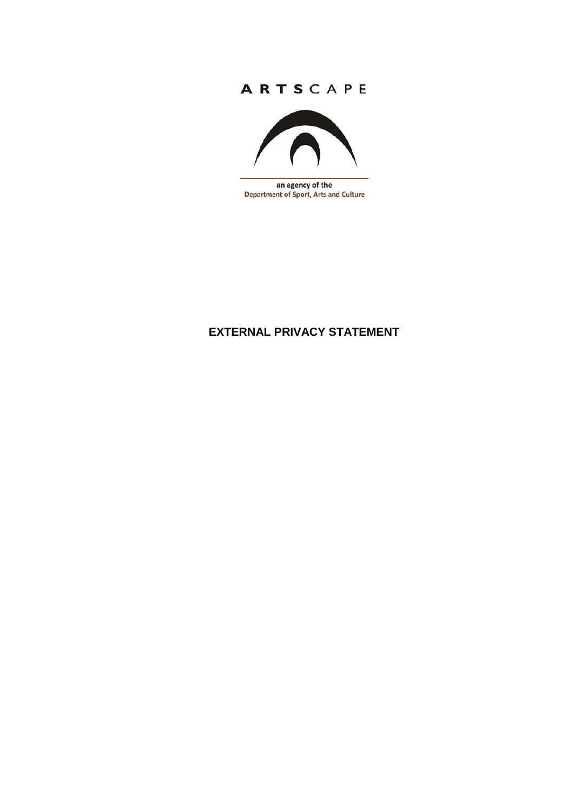## ARTSCAPE



an agency of the **Department of Sport, Arts and Culture** 

# **EXTERNAL PRIVACY STATEMENT**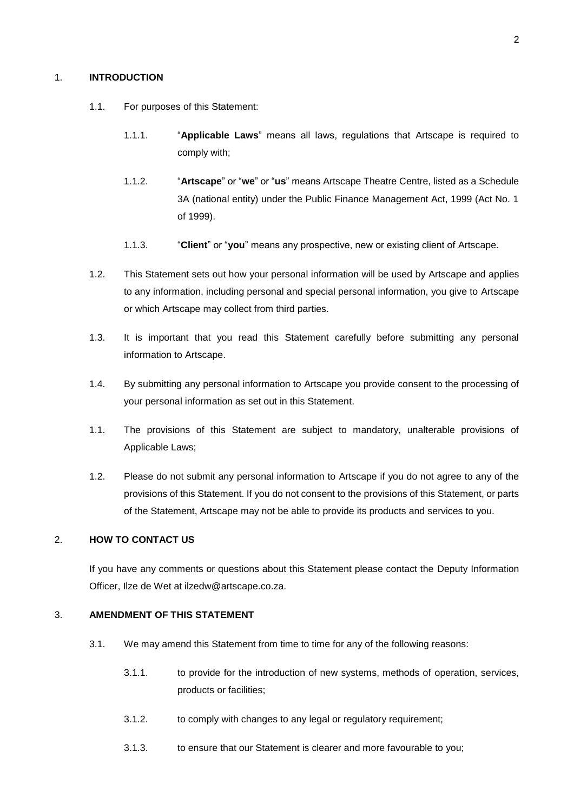### 1. **INTRODUCTION**

- 1.1. For purposes of this Statement:
	- 1.1.1. "**Applicable Laws**" means all laws, regulations that Artscape is required to comply with;
	- 1.1.2. "**Artscape**" or "**we**" or "**us**" means Artscape Theatre Centre, listed as a Schedule 3A (national entity) under the Public Finance Management Act, 1999 (Act No. 1 of 1999).
	- 1.1.3. "**Client**" or "**you**" means any prospective, new or existing client of Artscape.
- 1.2. This Statement sets out how your personal information will be used by Artscape and applies to any information, including personal and special personal information, you give to Artscape or which Artscape may collect from third parties.
- 1.3. It is important that you read this Statement carefully before submitting any personal information to Artscape.
- 1.4. By submitting any personal information to Artscape you provide consent to the processing of your personal information as set out in this Statement.
- 1.1. The provisions of this Statement are subject to mandatory, unalterable provisions of Applicable Laws;
- 1.2. Please do not submit any personal information to Artscape if you do not agree to any of the provisions of this Statement. If you do not consent to the provisions of this Statement, or parts of the Statement, Artscape may not be able to provide its products and services to you.

## 2. **HOW TO CONTACT US**

If you have any comments or questions about this Statement please contact the Deputy Information Officer, Ilze de Wet at ilzedw@artscape.co.za.

#### 3. **AMENDMENT OF THIS STATEMENT**

- 3.1. We may amend this Statement from time to time for any of the following reasons:
	- 3.1.1. to provide for the introduction of new systems, methods of operation, services, products or facilities;
	- 3.1.2. to comply with changes to any legal or regulatory requirement;
	- 3.1.3. to ensure that our Statement is clearer and more favourable to you;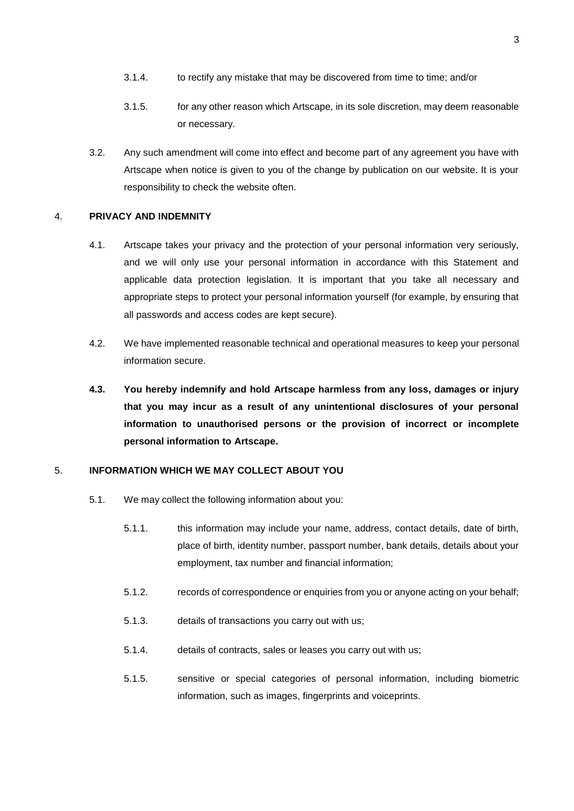- 3.1.4. to rectify any mistake that may be discovered from time to time; and/or
- 3.1.5. for any other reason which Artscape, in its sole discretion, may deem reasonable or necessary.
- 3.2. Any such amendment will come into effect and become part of any agreement you have with Artscape when notice is given to you of the change by publication on our website. It is your responsibility to check the website often.

#### 4. **PRIVACY AND INDEMNITY**

- 4.1. Artscape takes your privacy and the protection of your personal information very seriously, and we will only use your personal information in accordance with this Statement and applicable data protection legislation. It is important that you take all necessary and appropriate steps to protect your personal information yourself (for example, by ensuring that all passwords and access codes are kept secure).
- 4.2. We have implemented reasonable technical and operational measures to keep your personal information secure.
- **4.3. You hereby indemnify and hold Artscape harmless from any loss, damages or injury that you may incur as a result of any unintentional disclosures of your personal information to unauthorised persons or the provision of incorrect or incomplete personal information to Artscape.**

## 5. **INFORMATION WHICH WE MAY COLLECT ABOUT YOU**

- 5.1. We may collect the following information about you:
	- 5.1.1. this information may include your name, address, contact details, date of birth, place of birth, identity number, passport number, bank details, details about your employment, tax number and financial information;
	- 5.1.2. records of correspondence or enquiries from you or anyone acting on your behalf;
	- 5.1.3. details of transactions you carry out with us;
	- 5.1.4. details of contracts, sales or leases you carry out with us;
	- 5.1.5. sensitive or special categories of personal information, including biometric information, such as images, fingerprints and voiceprints.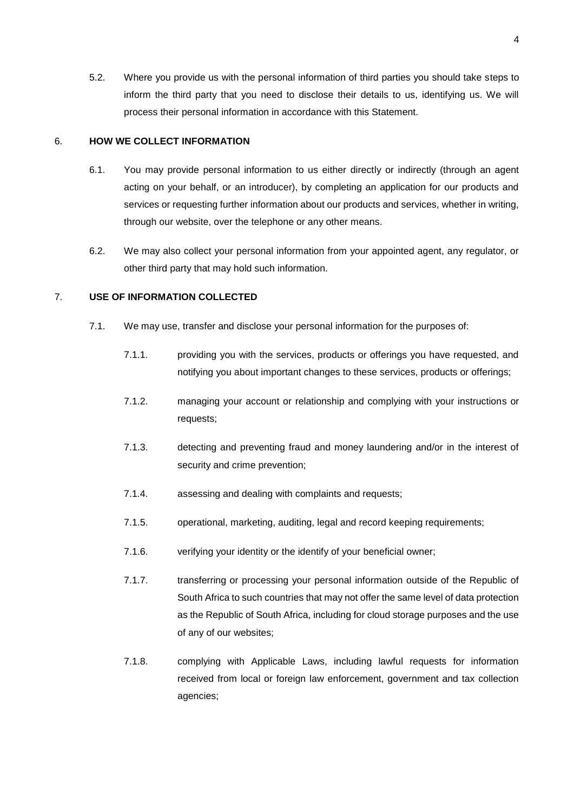5.2. Where you provide us with the personal information of third parties you should take steps to inform the third party that you need to disclose their details to us, identifying us. We will process their personal information in accordance with this Statement.

### 6. **HOW WE COLLECT INFORMATION**

- 6.1. You may provide personal information to us either directly or indirectly (through an agent acting on your behalf, or an introducer), by completing an application for our products and services or requesting further information about our products and services, whether in writing, through our website, over the telephone or any other means.
- 6.2. We may also collect your personal information from your appointed agent, any regulator, or other third party that may hold such information.

## 7. **USE OF INFORMATION COLLECTED**

- 7.1. We may use, transfer and disclose your personal information for the purposes of:
	- 7.1.1. providing you with the services, products or offerings you have requested, and notifying you about important changes to these services, products or offerings;
	- 7.1.2. managing your account or relationship and complying with your instructions or requests;
	- 7.1.3. detecting and preventing fraud and money laundering and/or in the interest of security and crime prevention;
	- 7.1.4. assessing and dealing with complaints and requests;
	- 7.1.5. operational, marketing, auditing, legal and record keeping requirements;
	- 7.1.6. verifying your identity or the identify of your beneficial owner;
	- 7.1.7. transferring or processing your personal information outside of the Republic of South Africa to such countries that may not offer the same level of data protection as the Republic of South Africa, including for cloud storage purposes and the use of any of our websites;
	- 7.1.8. complying with Applicable Laws, including lawful requests for information received from local or foreign law enforcement, government and tax collection agencies;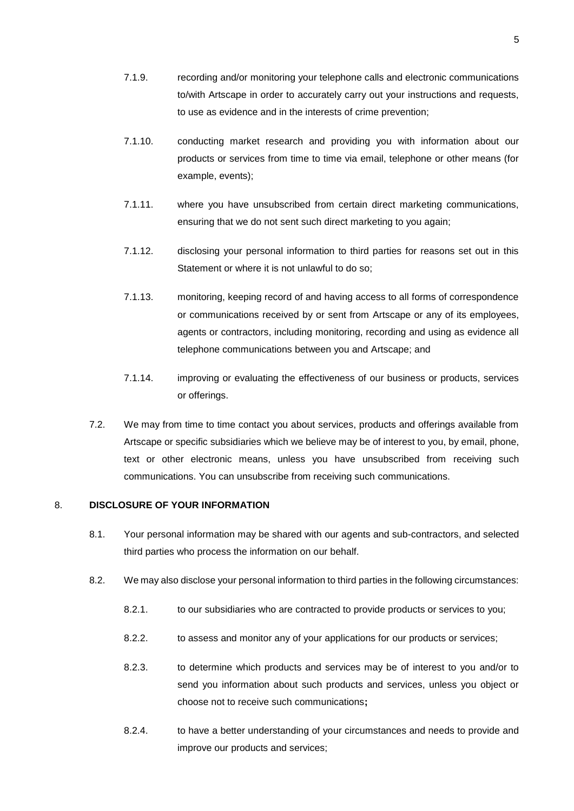- 7.1.9. recording and/or monitoring your telephone calls and electronic communications to/with Artscape in order to accurately carry out your instructions and requests, to use as evidence and in the interests of crime prevention;
- 7.1.10. conducting market research and providing you with information about our products or services from time to time via email, telephone or other means (for example, events);
- 7.1.11. where you have unsubscribed from certain direct marketing communications, ensuring that we do not sent such direct marketing to you again;
- 7.1.12. disclosing your personal information to third parties for reasons set out in this Statement or where it is not unlawful to do so;
- 7.1.13. monitoring, keeping record of and having access to all forms of correspondence or communications received by or sent from Artscape or any of its employees, agents or contractors, including monitoring, recording and using as evidence all telephone communications between you and Artscape; and
- 7.1.14. improving or evaluating the effectiveness of our business or products, services or offerings.
- 7.2. We may from time to time contact you about services, products and offerings available from Artscape or specific subsidiaries which we believe may be of interest to you, by email, phone, text or other electronic means, unless you have unsubscribed from receiving such communications. You can unsubscribe from receiving such communications.

## 8. **DISCLOSURE OF YOUR INFORMATION**

- 8.1. Your personal information may be shared with our agents and sub-contractors, and selected third parties who process the information on our behalf.
- 8.2. We may also disclose your personal information to third parties in the following circumstances:
	- 8.2.1. to our subsidiaries who are contracted to provide products or services to you;
	- 8.2.2. to assess and monitor any of your applications for our products or services;
	- 8.2.3. to determine which products and services may be of interest to you and/or to send you information about such products and services, unless you object or choose not to receive such communications**;**
	- 8.2.4. to have a better understanding of your circumstances and needs to provide and improve our products and services;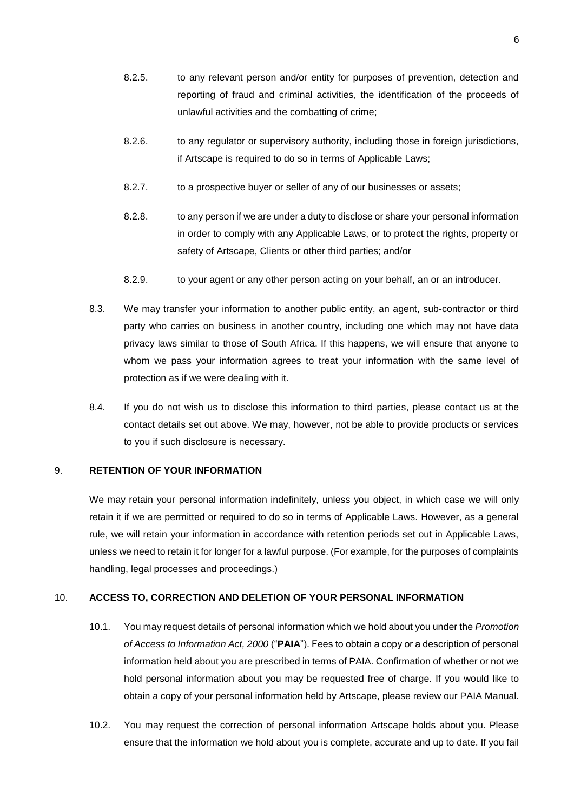- 8.2.5. to any relevant person and/or entity for purposes of prevention, detection and reporting of fraud and criminal activities, the identification of the proceeds of unlawful activities and the combatting of crime;
- 8.2.6. to any regulator or supervisory authority, including those in foreign jurisdictions, if Artscape is required to do so in terms of Applicable Laws;
- 8.2.7. to a prospective buyer or seller of any of our businesses or assets;
- 8.2.8. to any person if we are under a duty to disclose or share your personal information in order to comply with any Applicable Laws, or to protect the rights, property or safety of Artscape, Clients or other third parties; and/or
- 8.2.9. to your agent or any other person acting on your behalf, an or an introducer.
- 8.3. We may transfer your information to another public entity, an agent, sub-contractor or third party who carries on business in another country, including one which may not have data privacy laws similar to those of South Africa. If this happens, we will ensure that anyone to whom we pass your information agrees to treat your information with the same level of protection as if we were dealing with it.
- 8.4. If you do not wish us to disclose this information to third parties, please contact us at the contact details set out above. We may, however, not be able to provide products or services to you if such disclosure is necessary.

## 9. **RETENTION OF YOUR INFORMATION**

We may retain your personal information indefinitely, unless you object, in which case we will only retain it if we are permitted or required to do so in terms of Applicable Laws. However, as a general rule, we will retain your information in accordance with retention periods set out in Applicable Laws, unless we need to retain it for longer for a lawful purpose. (For example, for the purposes of complaints handling, legal processes and proceedings.)

## 10. **ACCESS TO, CORRECTION AND DELETION OF YOUR PERSONAL INFORMATION**

- 10.1. You may request details of personal information which we hold about you under the *Promotion of Access to Information Act, 2000* ("**PAIA**"). Fees to obtain a copy or a description of personal information held about you are prescribed in terms of PAIA. Confirmation of whether or not we hold personal information about you may be requested free of charge. If you would like to obtain a copy of your personal information held by Artscape, please review our PAIA Manual.
- 10.2. You may request the correction of personal information Artscape holds about you. Please ensure that the information we hold about you is complete, accurate and up to date. If you fail